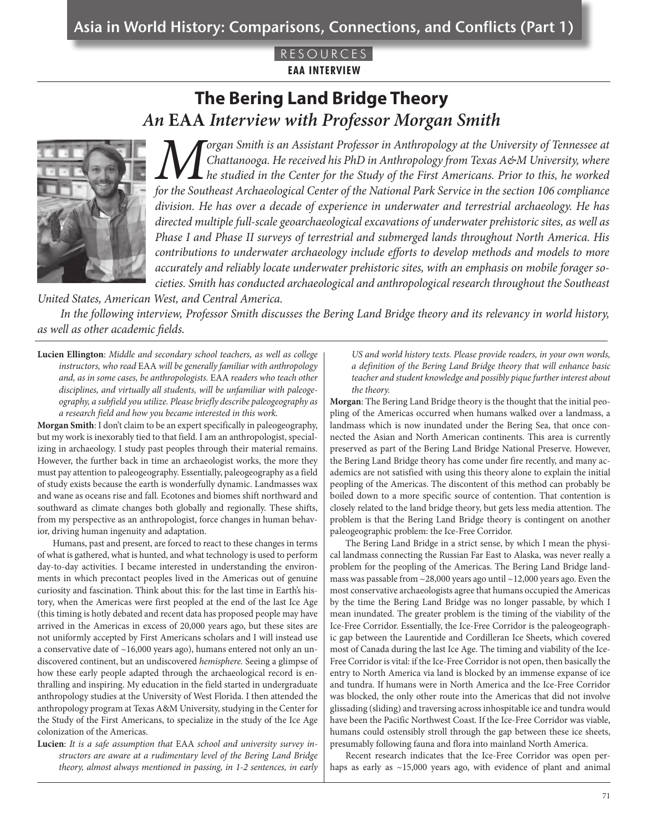#### RESOURC **EAA INTERVIEW**

# **The Bering Land Bridge Theory**  *An* **EAA** *Interview with Professor Morgan Smith*



*Morgan Smith is an Assistant Professor in Anthropology at the University of Tennessee at*<br>Chattanooga. He received his PhD in Anthropology from Texas A&M University, where<br>for the Southeast Archaeological Center of the Na *Chattanooga. He received his PhD in Anthropology from Texas A&M University, where he studied in the Center for the Study of the First Americans. Prior to this, he worked for the Southeast Archaeological Center of the National Park Service in the section 106 compliance division. He has over a decade of experience in underwater and terrestrial archaeology. He has directed multiple full-scale geoarchaeological excavations of underwater prehistoric sites, as well as Phase I and Phase II surveys of terrestrial and submerged lands throughout North America. His contributions to underwater archaeology include efforts to develop methods and models to more accurately and reliably locate underwater prehistoric sites, with an emphasis on mobile forager societies. Smith has conducted archaeological and anthropological research throughout the Southeast* 

*United States, American West, and Central America.*

*In the following interview, Professor Smith discusses the Bering Land Bridge theory and its relevancy in world history, as well as other academic fields.* 

**Lucien Ellington**: *Middle and secondary school teachers, as well as college instructors, who read* EAA *will be generally familiar with anthropology and, as in some cases, be anthropologists.* EAA *readers who teach other disciplines, and virtually all students, will be unfamiliar with paleogeography, a subfield you utilize. Please briefly describe paleogeography as a research field and how you became interested in this work.*

**Morgan Smith**: I don't claim to be an expert specifically in paleogeography, but my work is inexorably tied to that field. I am an anthropologist, specializing in archaeology. I study past peoples through their material remains. However, the further back in time an archaeologist works, the more they must pay attention to paleogeography. Essentially, paleogeography as a field of study exists because the earth is wonderfully dynamic. Landmasses wax and wane as oceans rise and fall. Ecotones and biomes shift northward and southward as climate changes both globally and regionally. These shifts, from my perspective as an anthropologist, force changes in human behavior, driving human ingenuity and adaptation.

Humans, past and present, are forced to react to these changes in terms of what is gathered, what is hunted, and what technology is used to perform day-to-day activities. I became interested in understanding the environments in which precontact peoples lived in the Americas out of genuine curiosity and fascination. Think about this: for the last time in Earth's history, when the Americas were first peopled at the end of the last Ice Age (this timing is hotly debated and recent data has proposed people may have arrived in the Americas in excess of 20,000 years ago, but these sites are not uniformly accepted by First Americans scholars and I will instead use a conservative date of ~16,000 years ago), humans entered not only an undiscovered continent, but an undiscovered *hemisphere.* Seeing a glimpse of how these early people adapted through the archaeological record is enthralling and inspiring. My education in the field started in undergraduate anthropology studies at the University of West Florida. I then attended the anthropology program at Texas A&M University, studying in the Center for the Study of the First Americans, to specialize in the study of the Ice Age colonization of the Americas.

**Lucien**: *It is a safe assumption that* EAA *school and university survey instructors are aware at a rudimentary level of the Bering Land Bridge theory, almost always mentioned in passing, in 1-2 sentences, in early*  *US and world history texts. Please provide readers, in your own words, a definition of the Bering Land Bridge theory that will enhance basic teacher and student knowledge and possibly pique further interest about the theory.* 

**Morgan**: The Bering Land Bridge theory is the thought that the initial peopling of the Americas occurred when humans walked over a landmass, a landmass which is now inundated under the Bering Sea, that once connected the Asian and North American continents. This area is currently preserved as part of the Bering Land Bridge National Preserve. However, the Bering Land Bridge theory has come under fire recently, and many academics are not satisfied with using this theory alone to explain the initial peopling of the Americas. The discontent of this method can probably be boiled down to a more specific source of contention. That contention is closely related to the land bridge theory, but gets less media attention. The problem is that the Bering Land Bridge theory is contingent on another paleogeographic problem: the Ice-Free Corridor.

The Bering Land Bridge in a strict sense, by which I mean the physical landmass connecting the Russian Far East to Alaska, was never really a problem for the peopling of the Americas. The Bering Land Bridge landmass was passable from  $\sim$ 28,000 years ago until  $\sim$ 12,000 years ago. Even the most conservative archaeologists agree that humans occupied the Americas by the time the Bering Land Bridge was no longer passable, by which I mean inundated. The greater problem is the timing of the viability of the Ice-Free Corridor. Essentially, the Ice-Free Corridor is the paleogeographic gap between the Laurentide and Cordilleran Ice Sheets, which covered most of Canada during the last Ice Age. The timing and viability of the Ice-Free Corridor is vital: if the Ice-Free Corridor is not open, then basically the entry to North America via land is blocked by an immense expanse of ice and tundra. If humans were in North America and the Ice-Free Corridor was blocked, the only other route into the Americas that did not involve glissading (sliding) and traversing across inhospitable ice and tundra would have been the Pacific Northwest Coast. If the Ice-Free Corridor was viable, humans could ostensibly stroll through the gap between these ice sheets, presumably following fauna and flora into mainland North America.

Recent research indicates that the Ice-Free Corridor was open perhaps as early as ~15,000 years ago, with evidence of plant and animal